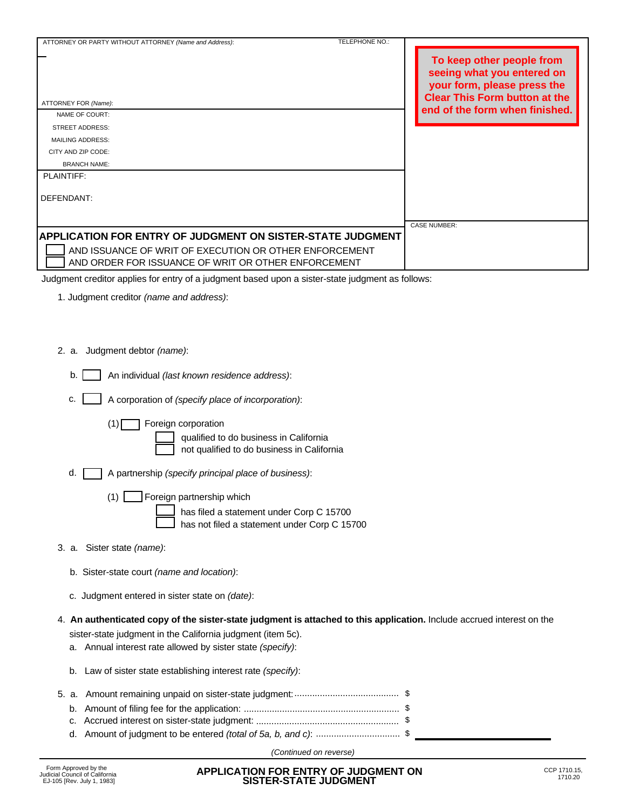| ATTORNEY OR PARTY WITHOUT ATTORNEY (Name and Address):            | <b>TELEPHONE NO.:</b> |                                                                                                                                |
|-------------------------------------------------------------------|-----------------------|--------------------------------------------------------------------------------------------------------------------------------|
| ATTORNEY FOR (Name):                                              |                       | To keep other people from<br>seeing what you entered on<br>your form, please press the<br><b>Clear This Form button at the</b> |
| NAME OF COURT:                                                    |                       | end of the form when finished.                                                                                                 |
| <b>STREET ADDRESS:</b>                                            |                       |                                                                                                                                |
| <b>MAILING ADDRESS:</b>                                           |                       |                                                                                                                                |
| CITY AND ZIP CODE:                                                |                       |                                                                                                                                |
| <b>BRANCH NAME:</b>                                               |                       |                                                                                                                                |
| PLAINTIFF:                                                        |                       |                                                                                                                                |
| DEFENDANT:                                                        |                       |                                                                                                                                |
|                                                                   |                       | <b>CASE NUMBER:</b>                                                                                                            |
| <b>APPLICATION FOR ENTRY OF JUDGMENT ON SISTER-STATE JUDGMENT</b> |                       |                                                                                                                                |
| AND ISSUANCE OF WRIT OF EXECUTION OR OTHER ENFORCEMENT            |                       |                                                                                                                                |
| AND ORDER FOR ISSUANCE OF WRIT OR OTHER ENFORCEMENT               |                       |                                                                                                                                |
|                                                                   |                       |                                                                                                                                |

Judgment creditor applies for entry of a judgment based upon a sister-state judgment as follows:

- 1. Judgment creditor *(name and address)*:
- 2. a. Judgment debtor *(name)*:
	- An individual *(last known residence address)*:  $b.1$
	- c. A corporation of *(specify place of incorporation)*:

(1) Foreign corporation

qualified to do business in California not qualified to do business in California

- A partnership *(specify principal place of business)*: d.
	- (1) Foreign partnership which has filed a statement under Corp C 15700

has not filed a statement under Corp C 15700

- 3. a. Sister state *(name)*:
	- b. Sister-state court *(name and location)*:
	- c. Judgment entered in sister state on *(date)*:
- sister-state judgment in the California judgment (item 5c). 4. **An authenticated copy of the sister-state judgment is attached to this application.** Include accrued interest on the
	- a. Annual interest rate allowed by sister state *(specify)*:
	- b. Law of sister state establishing interest rate *(specify)*:
- 5. a. Amount remaining unpaid on sister-state judgment: \$ ......................................... b. Amount of filing fee for the application: \$ ............................................................. \$ d. Amount of judgment to be entered *(total of 5a, b, and c)*: ................................. c. Accrued interest on sister-state judgment: \$ ........................................................

*(Continued on reverse)*